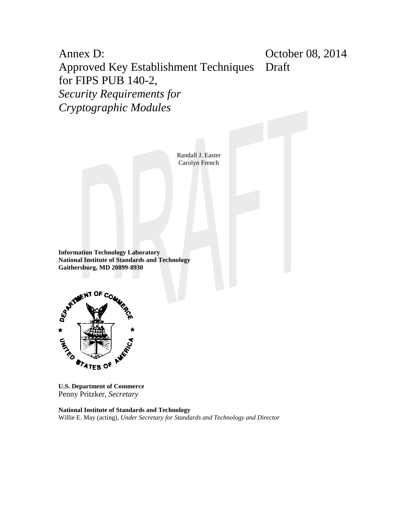Annex D: Approved Key Establishment Techniques for FIPS PUB 140-2, *Security Requirements for Cryptographic Modules* October 08, 2014 Draft

> Randall J. Easter Carolyn French

**Information Technology Laboratory National Institute of Standards and Technology Gaithersburg, MD 20899-8930**



**U.S. Department of Commerce** Penny Pritzker, *Secretary*

**National Institute of Standards and Technology** Willie E. May (acting), *Under Secretary for Standards and Technology and Director*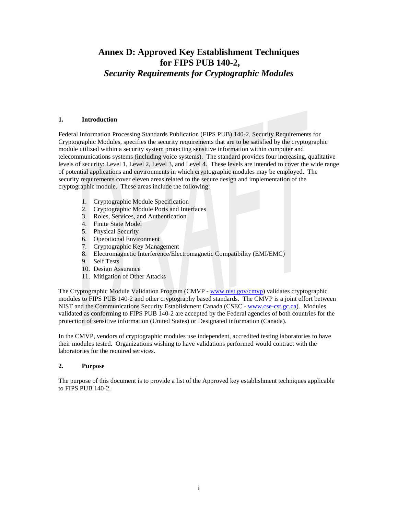# **Annex D: Approved Key Establishment Techniques for FIPS PUB 140-2,** *Security Requirements for Cryptographic Modules*

#### **1. Introduction**

Federal Information Processing Standards Publication (FIPS PUB) 140-2, Security Requirements for Cryptographic Modules, specifies the security requirements that are to be satisfied by the cryptographic module utilized within a security system protecting sensitive information within computer and telecommunications systems (including voice systems). The standard provides four increasing, qualitative levels of security: Level 1, Level 2, Level 3, and Level 4. These levels are intended to cover the wide range of potential applications and environments in which cryptographic modules may be employed. The security requirements cover eleven areas related to the secure design and implementation of the cryptographic module. These areas include the following:

- 1. Cryptographic Module Specification
- 2. Cryptographic Module Ports and Interfaces
- 3. Roles, Services, and Authentication
- 4. Finite State Model
- 5. Physical Security
- 6. Operational Environment
- 7. Cryptographic Key Management
- 8. Electromagnetic Interference/Electromagnetic Compatibility (EMI/EMC)
- 9. Self Tests
- 10. Design Assurance
- 11. Mitigation of Other Attacks

The Cryptographic Module Validation Program (CMVP - [www.nist.gov/cmvp\)](http://www.nist.gov/cmvp) validates cryptographic modules to FIPS PUB 140-2 and other cryptography based standards. The CMVP is a joint effort between NIST and the Communications Security Establishment Canada (CSEC - [www.cse-cst.gc.ca\)](http://www.cse-cst.gc.ca/). Modules validated as conforming to FIPS PUB 140-2 are accepted by the Federal agencies of both countries for the protection of sensitive information (United States) or Designated information (Canada).

In the CMVP, vendors of cryptographic modules use independent, accredited testing laboratories to have their modules tested. Organizations wishing to have validations performed would contract with the laboratories for the required services.

#### **2. Purpose**

The purpose of this document is to provide a list of the Approved key establishment techniques applicable to FIPS PUB 140-2.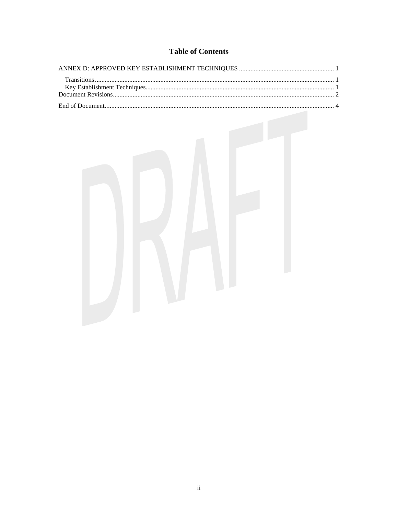## **Table of Contents**

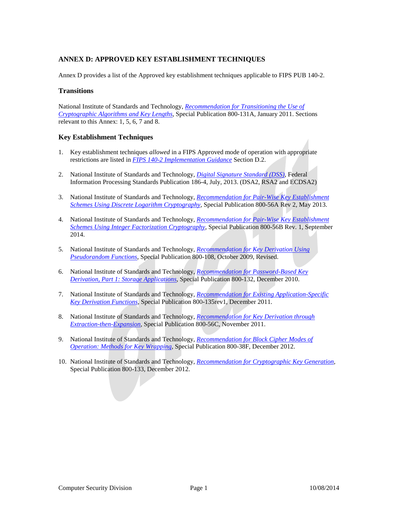### <span id="page-3-0"></span>**ANNEX D: APPROVED KEY ESTABLISHMENT TECHNIQUES**

Annex D provides a list of the Approved key establishment techniques applicable to FIPS PUB 140-2.

### <span id="page-3-1"></span>**Transitions**

National Institute of Standards and Technology, *[Recommendation for Transitioning the Use of](http://csrc.nist.gov/publications/nistpubs/800-131A/sp800-131A.pdf)  [Cryptographic Algorithms and Key Lengths](http://csrc.nist.gov/publications/nistpubs/800-131A/sp800-131A.pdf)*, Special Publication 800-131A, January 2011. Sections relevant to this Annex: 1, 5, 6, 7 and 8.

### <span id="page-3-2"></span>**Key Establishment Techniques**

- 1. Key establishment techniques *allowed* in a FIPS Approved mode of operation with appropriate restrictions are listed in *[FIPS 140-2 Implementation Guidance](http://csrc.nist.gov/groups/STM/cmvp/documents/fips140-2/FIPS1402IG.pdf)* Section D.2.
- 2. National Institute of Standards and Technology, *[Digital Signature Standard \(DSS\)](http://nvlpubs.nist.gov/nistpubs/FIPS/NIST.FIPS.186-4.pdf)*, Federal Information Processing Standards Publication 186-4, July, 2013. (DSA2, RSA2 and ECDSA2)
- 3. National Institute of Standards and Technology, *[Recommendation for Pair-Wise Key Establishment](http://nvlpubs.nist.gov/nistpubs/SpecialPublications/NIST.SP.800-56Ar2.pdf)  [Schemes Using Discrete Logarithm Cryptography](http://nvlpubs.nist.gov/nistpubs/SpecialPublications/NIST.SP.800-56Ar2.pdf)*, Special Publication 800-56A Rev 2, May 2013.
- 4. National Institute of Standards and Technology, *[Recommendation for Pair-Wise Key Establishment](http://csrc.nist.gov/publications/nistpubs/800-56B/sp800-56B.pdf)  [Schemes Using Integer Factorization Cryptography](http://csrc.nist.gov/publications/nistpubs/800-56B/sp800-56B.pdf)*, Special Publication 800-56B Rev. 1, September 2014.
- 5. National Institute of Standards and Technology, *[Recommendation for Key Derivation Using](http://csrc.nist.gov/publications/nistpubs/800-108/sp800-108.pdf)  [Pseudorandom Functions](http://csrc.nist.gov/publications/nistpubs/800-108/sp800-108.pdf)*, Special Publication 800-108, October 2009, Revised.
- 6. National Institute of Standards and Technology, *[Recommendation for Password-Based Key](http://csrc.nist.gov/publications/nistpubs/800-132/nist-sp800-132.pdf)  [Derivation, Part 1: Storage Applications](http://csrc.nist.gov/publications/nistpubs/800-132/nist-sp800-132.pdf)*, Special Publication 800-132, December 2010.
- 7. National Institute of Standards and Technology, *[Recommendation for Existing Application-Specific](http://csrc.nist.gov/publications/nistpubs/800-135-rev1/sp800-135-rev1.pdf)  [Key Derivation Functions](http://csrc.nist.gov/publications/nistpubs/800-135-rev1/sp800-135-rev1.pdf)*, Special Publication 800-135rev1, December 2011.
- 8. National Institute of Standards and Technology, *[Recommendation for Key Derivation through](http://csrc.nist.gov/publications/nistpubs/800-56C/SP-800-56C.pdf)  [Extraction-then-Expansion,](http://csrc.nist.gov/publications/nistpubs/800-56C/SP-800-56C.pdf)* Special Publication 800-56C, November 2011.
- 9. National Institute of Standards and Technology, *[Recommendation for Block Cipher Modes of](http://dx.doi.org/10.6028/NIST.SP.800-38F)  [Operation: Methods for Key Wrapping](http://dx.doi.org/10.6028/NIST.SP.800-38F)*, Special Publication 800-38F, December 2012.
- 10. National Institute of Standards and Technology, *[Recommendation for Cryptographic Key Generation](http://nvlpubs.nist.gov/nistpubs/SpecialPublications/NIST.SP.800-133.pdf)*, Special Publication 800-133, December 2012.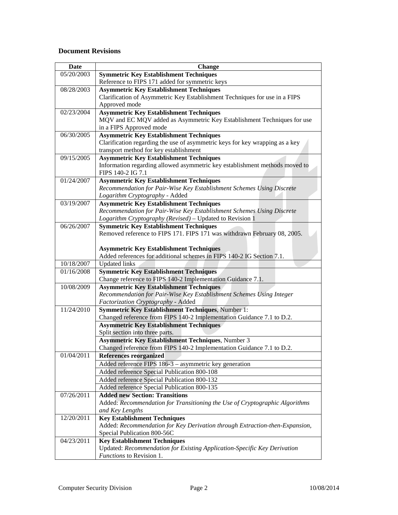### <span id="page-4-0"></span>**Document Revisions**

| Date       | <b>Change</b>                                                                                                          |
|------------|------------------------------------------------------------------------------------------------------------------------|
| 05/20/2003 | <b>Symmetric Key Establishment Techniques</b>                                                                          |
|            | Reference to FIPS 171 added for symmetric keys                                                                         |
| 08/28/2003 | <b>Asymmetric Key Establishment Techniques</b>                                                                         |
|            | Clarification of Asymmetric Key Establishment Techniques for use in a FIPS                                             |
|            | Approved mode                                                                                                          |
| 02/23/2004 | <b>Asymmetric Key Establishment Techniques</b>                                                                         |
|            | MQV and EC MQV added as Asymmetric Key Establishment Techniques for use                                                |
|            | in a FIPS Approved mode                                                                                                |
| 06/30/2005 | <b>Asymmetric Key Establishment Techniques</b>                                                                         |
|            | Clarification regarding the use of asymmetric keys for key wrapping as a key                                           |
|            | transport method for key establishment                                                                                 |
| 09/15/2005 | <b>Asymmetric Key Establishment Techniques</b>                                                                         |
|            | Information regarding allowed asymmetric key establishment methods moved to<br>FIPS 140-2 IG 7.1                       |
| 01/24/2007 | <b>Asymmetric Key Establishment Techniques</b>                                                                         |
|            | Recommendation for Pair-Wise Key Establishment Schemes Using Discrete                                                  |
|            | Logarithm Cryptography - Added                                                                                         |
| 03/19/2007 | <b>Asymmetric Key Establishment Techniques</b>                                                                         |
|            | Recommendation for Pair-Wise Key Establishment Schemes Using Discrete                                                  |
|            | Logarithm Cryptography (Revised) - Updated to Revision 1                                                               |
| 06/26/2007 | <b>Symmetric Key Establishment Techniques</b>                                                                          |
|            | Removed reference to FIPS 171. FIPS 171 was withdrawn February 08, 2005.                                               |
|            |                                                                                                                        |
|            | <b>Asymmetric Key Establishment Techniques</b>                                                                         |
|            | Added references for additional schemes in FIPS 140-2 IG Section 7.1.                                                  |
| 10/18/2007 | <b>Updated links</b>                                                                                                   |
| 01/16/2008 | <b>Symmetric Key Establishment Techniques</b>                                                                          |
|            | Change reference to FIPS 140-2 Implementation Guidance 7.1.                                                            |
| 10/08/2009 | <b>Asymmetric Key Establishment Techniques</b><br>Recommendation for Pair-Wise Key Establishment Schemes Using Integer |
|            | Factorization Cryptography - Added                                                                                     |
| 11/24/2010 | Symmetric Key Establishment Techniques, Number 1:                                                                      |
|            | Changed reference from FIPS 140-2 Implementation Guidance 7.1 to D.2.                                                  |
|            | <b>Asymmetric Key Establishment Techniques</b>                                                                         |
|            | Split section into three parts.                                                                                        |
|            | <b>Asymmetric Key Establishment Techniques, Number 3</b>                                                               |
|            | Changed reference from FIPS 140-2 Implementation Guidance 7.1 to D.2.                                                  |
| 01/04/2011 | <b>References reorganized</b>                                                                                          |
|            | Added reference FIPS 186-3 - asymmetric key generation                                                                 |
|            | Added reference Special Publication 800-108                                                                            |
|            | Added reference Special Publication 800-132                                                                            |
|            | Added reference Special Publication 800-135                                                                            |
| 07/26/2011 | <b>Added new Section: Transitions</b>                                                                                  |
|            | Added: Recommendation for Transitioning the Use of Cryptographic Algorithms                                            |
|            | and Key Lengths                                                                                                        |
| 12/20/2011 | <b>Key Establishment Techniques</b>                                                                                    |
|            | Added: Recommendation for Key Derivation through Extraction-then-Expansion,                                            |
| 04/23/2011 | Special Publication 800-56C                                                                                            |
|            | <b>Key Establishment Techniques</b>                                                                                    |
|            | Updated: Recommendation for Existing Application-Specific Key Derivation                                               |
|            | Functions to Revision 1.                                                                                               |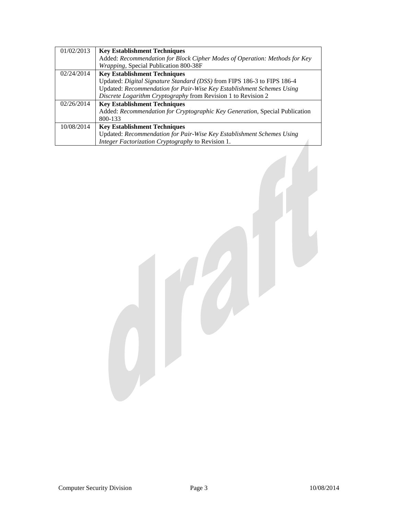<span id="page-5-0"></span>

| 01/02/2013 | <b>Key Establishment Techniques</b>                                         |
|------------|-----------------------------------------------------------------------------|
|            | Added: Recommendation for Block Cipher Modes of Operation: Methods for Key  |
|            | Wrapping, Special Publication 800-38F                                       |
| 02/24/2014 | <b>Key Establishment Techniques</b>                                         |
|            | Updated: Digital Signature Standard (DSS) from FIPS 186-3 to FIPS 186-4     |
|            | Updated: Recommendation for Pair-Wise Key Establishment Schemes Using       |
|            | Discrete Logarithm Cryptography from Revision 1 to Revision 2               |
| 02/26/2014 | <b>Key Establishment Techniques</b>                                         |
|            | Added: Recommendation for Cryptographic Key Generation, Special Publication |
|            | 800-133                                                                     |
| 10/08/2014 | <b>Key Establishment Techniques</b>                                         |
|            | Updated: Recommendation for Pair-Wise Key Establishment Schemes Using       |
|            | Integer Factorization Cryptography to Revision 1.                           |